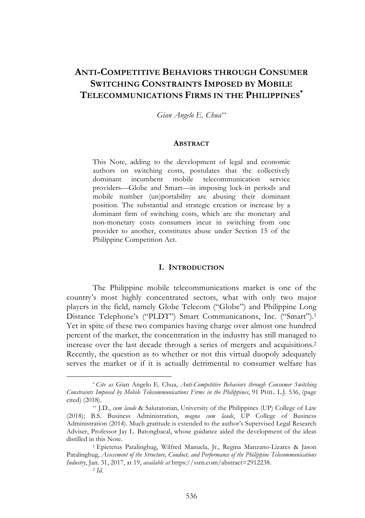# **ANTI-COMPETITIVE BEHAVIORS THROUGH CONSUMER SWITCHING CONSTRAINTS IMPOSED BY MOBILE TELECOMMUNICATIONS FIRMS IN THE PHILIPPINES\***

*Gian Angelo E. Chua\*\**

#### **ABSTRACT**

This Note, adding to the development of legal and economic authors on switching costs, postulates that the collectively dominant incumbent mobile telecommunication service providers—Globe and Smart—in imposing lock-in periods and mobile number (un)portability are abusing their dominant position. The substantial and strategic creation or increase by a dominant firm of switching costs, which are the monetary and non-monetary costs consumers incur in switching from one provider to another, constitutes abuse under Section 15 of the Philippine Competition Act.

#### **I. INTRODUCTION**

The Philippine mobile telecommunications market is one of the country's most highly concentrated sectors, what with only two major players in the field, namely Globe Telecom ("Globe") and Philippine Long Distance Telephone's ("PLDT") Smart Communications, Inc. ("Smart").1 Yet in spite of these two companies having charge over almost one hundred percent of the market, the concentration in the industry has still managed to increase over the last decade through a series of mergers and acquisitions.2 Recently, the question as to whether or not this virtual duopoly adequately serves the market or if it is actually detrimental to consumer welfare has

<sup>\*</sup> *Cite as* Gian Angelo E. Chua, *Anti-Competitive Behaviors through Consumer Switching Constraints Imposed by Mobile Telecommunications Firms in the Philippines*, 91 PHIL. L.J. 536, (page cited) (2018).

<sup>\*\*</sup> J.D., *cum laude* & Salutatorian, University of the Philippines (UP) College of Law (2018); B.S. Business Administration, *magna cum laude*, UP College of Business Administration (2014). Much gratitude is extended to the author's Supervised Legal Research Adviser, Professor Jay L. Batongbacal, whose guidance aided the development of the ideas distilled in this Note.

<sup>1</sup> Epictetus Patalinghug, Wilfred Manuela, Jr., Regina Manzano-Lizares & Jason Patalinghug, *Assessment of the Structure, Conduct, and Performance of the Philippine Telecommunications Industry*, Jan. 31, 2017, at 19, *available at* https://ssrn.com/abstract=2912238. <sup>2</sup> *Id*.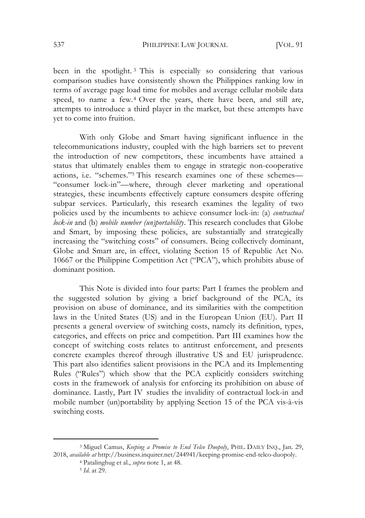537 PHILIPPINE LAW JOURNAL [VOL. 91

been in the spotlight. <sup>3</sup> This is especially so considering that various comparison studies have consistently shown the Philippines ranking low in terms of average page load time for mobiles and average cellular mobile data speed, to name a few.4 Over the years, there have been, and still are, attempts to introduce a third player in the market, but these attempts have yet to come into fruition.

With only Globe and Smart having significant influence in the telecommunications industry, coupled with the high barriers set to prevent the introduction of new competitors, these incumbents have attained a status that ultimately enables them to engage in strategic non-cooperative actions, i.e. "schemes."5 This research examines one of these schemes— "consumer lock-in"—where, through clever marketing and operational strategies, these incumbents effectively capture consumers despite offering subpar services. Particularly, this research examines the legality of two policies used by the incumbents to achieve consumer lock-in: (a) *contractual lock-in* and (b) *mobile number (un)portability*. This research concludes that Globe and Smart, by imposing these policies, are substantially and strategically increasing the "switching costs" of consumers. Being collectively dominant, Globe and Smart are, in effect, violating Section 15 of Republic Act No. 10667 or the Philippine Competition Act ("PCA"), which prohibits abuse of dominant position.

This Note is divided into four parts: Part I frames the problem and the suggested solution by giving a brief background of the PCA, its provision on abuse of dominance, and its similarities with the competition laws in the United States (US) and in the European Union (EU). Part II presents a general overview of switching costs, namely its definition, types, categories, and effects on price and competition. Part III examines how the concept of switching costs relates to antitrust enforcement, and presents concrete examples thereof through illustrative US and EU jurisprudence. This part also identifies salient provisions in the PCA and its Implementing Rules ("Rules") which show that the PCA explicitly considers switching costs in the framework of analysis for enforcing its prohibition on abuse of dominance. Lastly, Part IVstudies the invalidity of contractual lock-in and mobile number (un)portability by applying Section 15 of the PCA vis-à-vis switching costs.

<sup>3</sup> Miguel Camus, *Keeping a Promise to End Telco Duopoly*, PHIL. DAILY INQ., Jan. 29, 2018, *available at* http://business.inquirer.net/244941/keeping-promise-end-telco-duopoly.

<sup>4</sup> Patalinghug et al., *supra* note 1, at 48.

<sup>5</sup> *Id*. at 29.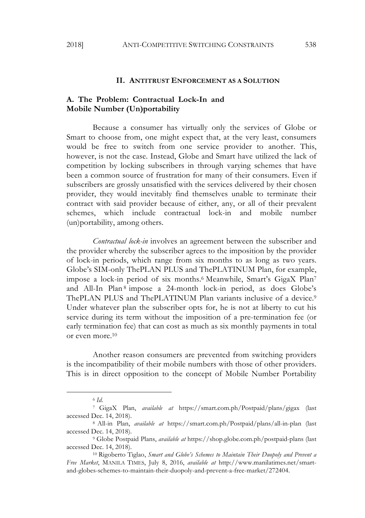### **II. ANTITRUST ENFORCEMENT AS A SOLUTION**

# **A. The Problem: Contractual Lock-In and Mobile Number (Un)portability**

Because a consumer has virtually only the services of Globe or Smart to choose from, one might expect that, at the very least, consumers would be free to switch from one service provider to another. This, however, is not the case. Instead, Globe and Smart have utilized the lack of competition by locking subscribers in through varying schemes that have been a common source of frustration for many of their consumers. Even if subscribers are grossly unsatisfied with the services delivered by their chosen provider, they would inevitably find themselves unable to terminate their contract with said provider because of either, any, or all of their prevalent schemes, which include contractual lock-in and mobile number (un)portability, among others.

*Contractual lock-in* involves an agreement between the subscriber and the provider whereby the subscriber agrees to the imposition by the provider of lock-in periods, which range from six months to as long as two years. Globe's SIM-only ThePLAN PLUS and ThePLATINUM Plan, for example, impose a lock-in period of six months.6 Meanwhile, Smart's GigaX Plan7 and All-In Plan <sup>8</sup> impose a 24-month lock-in period, as does Globe's ThePLAN PLUS and ThePLATINUM Plan variants inclusive of a device.<sup>9</sup> Under whatever plan the subscriber opts for, he is not at liberty to cut his service during its term without the imposition of a pre-termination fee (or early termination fee) that can cost as much as six monthly payments in total or even more.10

Another reason consumers are prevented from switching providers is the incompatibility of their mobile numbers with those of other providers. This is in direct opposition to the concept of Mobile Number Portability

<sup>6</sup> *Id*.

<sup>7</sup> GigaX Plan, *available at* https://smart.com.ph/Postpaid/plans/gigax (last accessed Dec. 14, 2018).

<sup>8</sup> All-in Plan, *available at* https://smart.com.ph/Postpaid/plans/all-in-plan (last accessed Dec. 14, 2018).

<sup>9</sup> Globe Postpaid Plans, *available at* https://shop.globe.com.ph/postpaid-plans (last accessed Dec. 14, 2018).

<sup>10</sup> Rigoberto Tiglao, *Smart and Globe's Schemes to Maintain Their Duopoly and Prevent a Free Market*, MANILA TIMES, July 8, 2016, *available at* http://www.manilatimes.net/smartand-globes-schemes-to-maintain-their-duopoly-and-prevent-a-free-market/272404.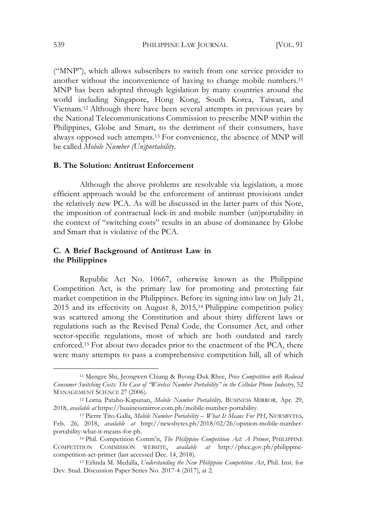("MNP"), which allows subscribers to switch from one service provider to another without the inconvenience of having to change mobile numbers.<sup>11</sup> MNP has been adopted through legislation by many countries around the world including Singapore, Hong Kong, South Korea, Taiwan, and Vietnam.12 Although there have been several attempts in previous years by the National Telecommunications Commission to prescribe MNP within the Philippines, Globe and Smart, to the detriment of their consumers, have always opposed such attempts.13 For convenience, the absence of MNP will be called *Mobile Number (Un)portability*.

### **B. The Solution: Antitrust Enforcement**

Although the above problems are resolvable via legislation, a more efficient approach would be the enforcement of antitrust provisions under the relatively new PCA. As will be discussed in the latter parts of this Note, the imposition of contractual lock-in and mobile number (un)portability in the context of "switching costs" results in an abuse of dominance by Globe and Smart that is violative of the PCA.

### **C. A Brief Background of Antitrust Law in the Philippines**

Republic Act No. 10667, otherwise known as the Philippine Competition Act, is the primary law for promoting and protecting fair market competition in the Philippines. Before its signing into law on July 21, 2015 and its effectivity on August 8, 2015,14 Philippine competition policy was scattered among the Constitution and about thirty different laws or regulations such as the Revised Penal Code, the Consumer Act, and other sector-specific regulations, most of which are both outdated and rarely enforced.15 For about two decades prior to the enactment of the PCA, there were many attempts to pass a comprehensive competition bill, all of which

<sup>11</sup> Mengze Shi, Jeongwen Chiang & Byong-Duk Rhee, *Price Competition with Reduced Consumer Switching Costs: The Case of "Wireless Number Portability" in the Cellular Phone Industry*, 52 MANAGEMENT SCIENCE 27 (2006). 12 Lorna Pataho-Kapunan, *Mobile Number Portability,* BUSINESS MIRROR*,* Apr. 29,

<sup>2018,</sup> *available at* https://businessmirror.com.ph/mobile-number-portability.

<sup>13</sup> Pierre Tito Galla, *Mobile Number Portability – What It Means For PH*, NEWSBYTES, Feb. 26, 2018, *available at* http://newsbytes.ph/2018/02/26/opinion-mobile-numberportability-what-it-means-for-ph.

<sup>14</sup> Phil. Competition Comm'n, *The Philippine Competition Act: A Primer*, PHILIPPINE COMPETITION COMMISSION WEBSITE, *available at* http://phcc.gov.ph/philippinecompetition-act-primer (last accessed Dec. 14, 2018).

<sup>15</sup> Erlinda M. Medalla, *Understanding the New Philippine Competition Act*, Phil. Inst. for Dev. Stud. Discussion Paper Series No. 2017-4 (2017), at 2.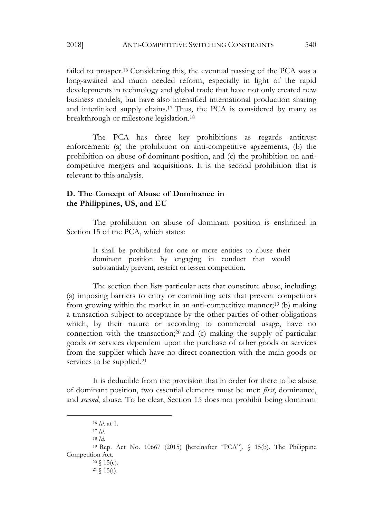failed to prosper.16 Considering this, the eventual passing of the PCA was a long-awaited and much needed reform, especially in light of the rapid developments in technology and global trade that have not only created new business models, but have also intensified international production sharing and interlinked supply chains.17 Thus, the PCA is considered by many as breakthrough or milestone legislation.18

The PCA has three key prohibitions as regards antitrust enforcement: (a) the prohibition on anti-competitive agreements, (b) the prohibition on abuse of dominant position, and (c) the prohibition on anticompetitive mergers and acquisitions. It is the second prohibition that is relevant to this analysis.

# **D. The Concept of Abuse of Dominance in the Philippines, US, and EU**

The prohibition on abuse of dominant position is enshrined in Section 15 of the PCA, which states:

> It shall be prohibited for one or more entities to abuse their dominant position by engaging in conduct that would substantially prevent, restrict or lessen competition.

The section then lists particular acts that constitute abuse, including: (a) imposing barriers to entry or committing acts that prevent competitors from growing within the market in an anti-competitive manner;19 (b) making a transaction subject to acceptance by the other parties of other obligations which, by their nature or according to commercial usage, have no connection with the transaction;20 and (c) making the supply of particular goods or services dependent upon the purchase of other goods or services from the supplier which have no direct connection with the main goods or services to be supplied.<sup>21</sup>

It is deducible from the provision that in order for there to be abuse of dominant position, two essential elements must be met: *first*, dominance, and *second*, abuse. To be clear, Section 15 does not prohibit being dominant

<sup>16</sup> *Id*. at 1.

<sup>17</sup> *Id*.

<sup>18</sup> *Id*.

<sup>19</sup> Rep. Act No. 10667 (2015) [hereinafter "PCA"], § 15(b). The Philippine Competition Act.

 $20 \, \text{S}$  15(c).

 $21 \& 15(f)$ .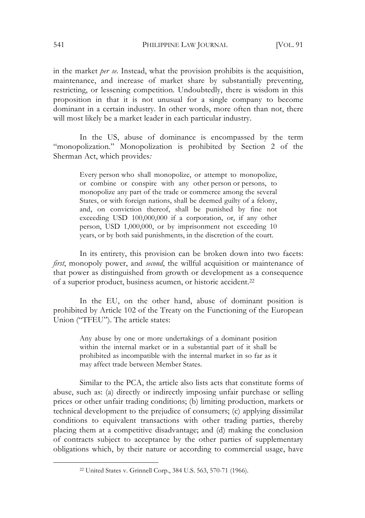541 PHILIPPINE LAW JOURNAL [VOL. 91

in the market *per se*. Instead, what the provision prohibits is the acquisition, maintenance, and increase of market share by substantially preventing, restricting, or lessening competition. Undoubtedly, there is wisdom in this proposition in that it is not unusual for a single company to become dominant in a certain industry. In other words, more often than not, there will most likely be a market leader in each particular industry.

In the US, abuse of dominance is encompassed by the term "monopolization." Monopolization is prohibited by Section 2 of the Sherman Act, which provides*:* 

> Every person who shall monopolize, or attempt to monopolize, or combine or conspire with any other person or persons, to monopolize any part of the trade or commerce among the several States, or with foreign nations, shall be deemed guilty of a felony, and, on conviction thereof, shall be punished by fine not exceeding USD 100,000,000 if a corporation, or, if any other person, USD 1,000,000, or by imprisonment not exceeding 10 years, or by both said punishments, in the discretion of the court.

In its entirety, this provision can be broken down into two facets: *first*, monopoly power, and *second*, the willful acquisition or maintenance of that power as distinguished from growth or development as a consequence of a superior product, business acumen, or historic accident.22

In the EU, on the other hand, abuse of dominant position is prohibited by Article 102 of the Treaty on the Functioning of the European Union ("TFEU"). The article states:

> Any abuse by one or more undertakings of a dominant position within the internal market or in a substantial part of it shall be prohibited as incompatible with the internal market in so far as it may affect trade between Member States.

Similar to the PCA, the article also lists acts that constitute forms of abuse, such as: (a) directly or indirectly imposing unfair purchase or selling prices or other unfair trading conditions; (b) limiting production, markets or technical development to the prejudice of consumers; (c) applying dissimilar conditions to equivalent transactions with other trading parties, thereby placing them at a competitive disadvantage; and (d) making the conclusion of contracts subject to acceptance by the other parties of supplementary obligations which, by their nature or according to commercial usage, have

<sup>22</sup> United States v. Grinnell Corp., 384 U.S. 563, 570-71 (1966).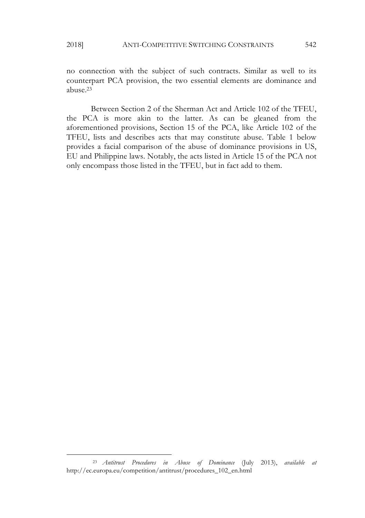$\overline{a}$ 

no connection with the subject of such contracts. Similar as well to its counterpart PCA provision, the two essential elements are dominance and abuse.23

Between Section 2 of the Sherman Act and Article 102 of the TFEU, the PCA is more akin to the latter. As can be gleaned from the aforementioned provisions, Section 15 of the PCA, like Article 102 of the TFEU, lists and describes acts that may constitute abuse. Table 1 below provides a facial comparison of the abuse of dominance provisions in US, EU and Philippine laws. Notably, the acts listed in Article 15 of the PCA not only encompass those listed in the TFEU, but in fact add to them.

<sup>23</sup> *Antitrust Procedures in Abuse of Dominance* (July 2013), *available at* http://ec.europa.eu/competition/antitrust/procedures\_102\_en.html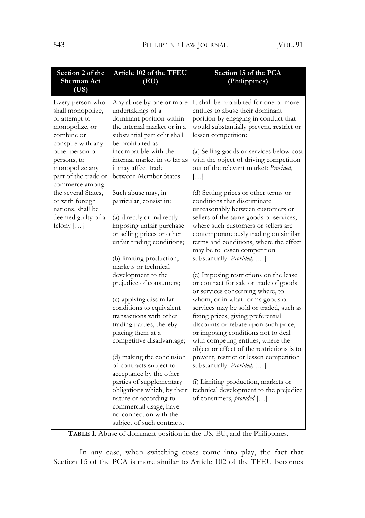| Section 2 of the<br><b>Sherman Act</b><br>(US)                                                              | Article 102 of the TFEU<br>(EU)                                                                                                                                     | Section 15 of the PCA<br>(Philippines)                                                                                                                                                                                                                                             |
|-------------------------------------------------------------------------------------------------------------|---------------------------------------------------------------------------------------------------------------------------------------------------------------------|------------------------------------------------------------------------------------------------------------------------------------------------------------------------------------------------------------------------------------------------------------------------------------|
| Every person who<br>shall monopolize,<br>or attempt to<br>monopolize, or<br>combine or<br>conspire with any | Any abuse by one or more<br>undertakings of a<br>dominant position within<br>the internal market or in a<br>substantial part of it shall<br>be prohibited as        | It shall be prohibited for one or more<br>entities to abuse their dominant<br>position by engaging in conduct that<br>would substantially prevent, restrict or<br>lessen competition:                                                                                              |
| other person or<br>persons, to<br>monopolize any<br>part of the trade or<br>commerce among                  | incompatible with the<br>internal market in so far as<br>it may affect trade<br>between Member States.                                                              | (a) Selling goods or services below cost<br>with the object of driving competition<br>out of the relevant market: Provided,<br>$\left[\ldots\right]$                                                                                                                               |
| the several States,<br>or with foreign<br>nations, shall be<br>deemed guilty of a                           | Such abuse may, in<br>particular, consist in:<br>(a) directly or indirectly                                                                                         | (d) Setting prices or other terms or<br>conditions that discriminate<br>unreasonably between customers or<br>sellers of the same goods or services,                                                                                                                                |
| felony $[]$                                                                                                 | imposing unfair purchase<br>or selling prices or other<br>unfair trading conditions;                                                                                | where such customers or sellers are<br>contemporaneously trading on similar<br>terms and conditions, where the effect<br>may be to lessen competition                                                                                                                              |
|                                                                                                             | (b) limiting production,<br>markets or technical                                                                                                                    | substantially: Provided, []                                                                                                                                                                                                                                                        |
|                                                                                                             | development to the<br>prejudice of consumers;                                                                                                                       | (e) Imposing restrictions on the lease<br>or contract for sale or trade of goods<br>or services concerning where, to                                                                                                                                                               |
|                                                                                                             | (c) applying dissimilar<br>conditions to equivalent<br>transactions with other<br>trading parties, thereby<br>placing them at a<br>competitive disadvantage;        | whom, or in what forms goods or<br>services may be sold or traded, such as<br>fixing prices, giving preferential<br>discounts or rebate upon such price,<br>or imposing conditions not to deal<br>with competing entities, where the<br>object or effect of the restrictions is to |
|                                                                                                             | (d) making the conclusion<br>of contracts subject to<br>acceptance by the other                                                                                     | prevent, restrict or lessen competition<br>substantially: Provided, []                                                                                                                                                                                                             |
|                                                                                                             | parties of supplementary<br>obligations which, by their<br>nature or according to<br>commercial usage, have<br>no connection with the<br>subject of such contracts. | (i) Limiting production, markets or<br>technical development to the prejudice<br>of consumers, provided []                                                                                                                                                                         |

**TABLE 1**. Abuse of dominant position in the US, EU, and the Philippines.

In any case, when switching costs come into play, the fact that Section 15 of the PCA is more similar to Article 102 of the TFEU becomes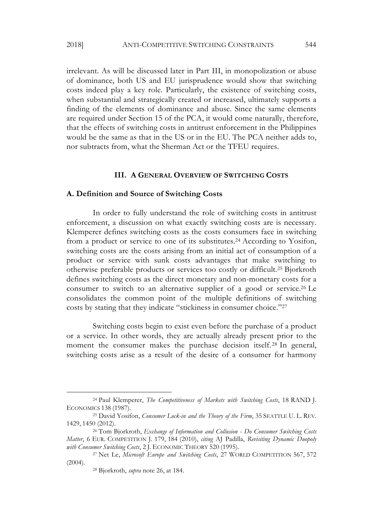irrelevant. As will be discussed later in Part III, in monopolization or abuse of dominance, both US and EU jurisprudence would show that switching costs indeed play a key role. Particularly, the existence of switching costs, when substantial and strategically created or increased, ultimately supports a finding of the elements of dominance and abuse. Since the same elements are required under Section 15 of the PCA, it would come naturally, therefore, that the effects of switching costs in antitrust enforcement in the Philippines would be the same as that in the US or in the EU. The PCA neither adds to, nor subtracts from, what the Sherman Act or the TFEU requires.

#### **III. A GENERAL OVERVIEW OF SWITCHING COSTS**

#### **A. Definition and Source of Switching Costs**

In order to fully understand the role of switching costs in antitrust enforcement, a discussion on what exactly switching costs are is necessary. Klemperer defines switching costs as the costs consumers face in switching from a product or service to one of its substitutes.24 According to Yosifon, switching costs are the costs arising from an initial act of consumption of a product or service with sunk costs advantages that make switching to otherwise preferable products or services too costly or difficult.25 Bjorkroth defines switching costs as the direct monetary and non-monetary costs for a consumer to switch to an alternative supplier of a good or service.26 Le consolidates the common point of the multiple definitions of switching costs by stating that they indicate "stickiness in consumer choice."27

Switching costs begin to exist even before the purchase of a product or a service. In other words, they are actually already present prior to the moment the consumer makes the purchase decision itself. <sup>28</sup> In general, switching costs arise as a result of the desire of a consumer for harmony

<sup>24</sup> Paul Klemperer, *The Competitiveness of Markets with Switching Costs*, 18 RAND J. ECONOMICS 138 (1987).

<sup>25</sup> David Yosifon, *Consumer Lock-in and the Theory of the Firm*, 35 SEATTLE U. L. REV. 1429, 1450 (2012).

<sup>26</sup> Tom Bjorkroth, *Exchange of Information and Collusion - Do Consumer Switching Costs Matter*, 6 EUR. COMPETITION J. 179, 184 (2010), *citing* AJ Padilla, *Revisiting Dynamic Duopoly with Consumer Switching Costs*, 2 J. ECONOMIC THEORY 520 (1995).

<sup>27</sup> Net Le, *Microsoft Europe and Switching Costs*, 27 WORLD COMPETITION 567, 572 (2004).

<sup>28</sup> Bjorkroth, *supra* note 26, at 184.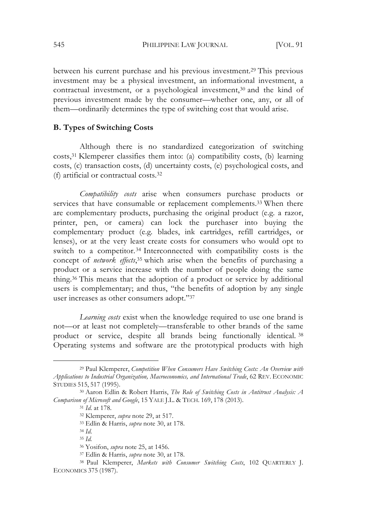between his current purchase and his previous investment.29 This previous investment may be a physical investment, an informational investment, a contractual investment, or a psychological investment,<sup>30</sup> and the kind of previous investment made by the consumer—whether one, any, or all of them—ordinarily determines the type of switching cost that would arise.

### **B. Types of Switching Costs**

Although there is no standardized categorization of switching costs,31 Klemperer classifies them into: (a) compatibility costs, (b) learning costs, (c) transaction costs, (d) uncertainty costs, (e) psychological costs, and (f) artificial or contractual costs.32

*Compatibility costs* arise when consumers purchase products or services that have consumable or replacement complements.<sup>33</sup> When there are complementary products, purchasing the original product (e.g*.* a razor, printer, pen, or camera) can lock the purchaser into buying the complementary product (e.g*.* blades, ink cartridges, refill cartridges, or lenses), or at the very least create costs for consumers who would opt to switch to a competitor.<sup>34</sup> Interconnected with compatibility costs is the concept of *network* effects,<sup>35</sup> which arise when the benefits of purchasing a product or a service increase with the number of people doing the same thing.36 This means that the adoption of a product or service by additional users is complementary; and thus, "the benefits of adoption by any single user increases as other consumers adopt."37

*Learning costs* exist when the knowledge required to use one brand is not—or at least not completely—transferable to other brands of the same product or service, despite all brands being functionally identical. <sup>38</sup> Operating systems and software are the prototypical products with high

<sup>29</sup> Paul Klemperer, *Competition When Consumers Have Switching Costs: An Overview with Applications to Industrial Organization, Macroeconomics, and International Trade*, 62 REV. ECONOMIC STUDIES 515, 517 (1995).

<sup>30</sup> Aaron Edlin & Robert Harris, *The Role of Switching Costs in Antitrust Analysis: A Comparison of Microsoft and Google*, 15 YALE J.L. & TECH. 169, 178 (2013).

<sup>31</sup> *Id*. at 178.

<sup>32</sup> Klemperer, *supra* note 29, at 517.

<sup>33</sup> Edlin & Harris, *supra* note 30, at 178.

<sup>34</sup> *Id*.

<sup>35</sup> *Id.*

<sup>36</sup> Yosifon, *supra* note 25, at 1456.

<sup>37</sup> Edlin & Harris, *supra* note 30, at 178.

<sup>38</sup> Paul Klemperer, *Markets with Consumer Switching Costs*, 102 QUARTERLY J. ECONOMICS 375 (1987).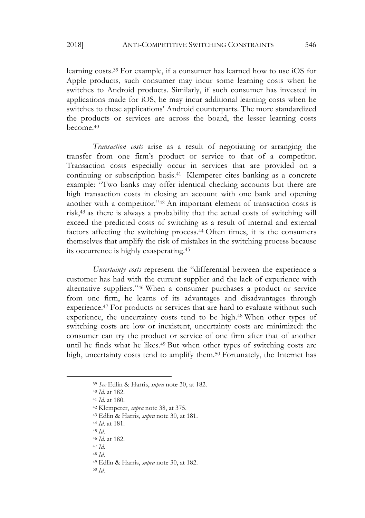2018] ANTI-COMPETITIVE SWITCHING CONSTRAINTS 546

learning costs.39 For example, if a consumer has learned how to use iOS for Apple products, such consumer may incur some learning costs when he switches to Android products. Similarly, if such consumer has invested in applications made for iOS, he may incur additional learning costs when he switches to these applications' Android counterparts. The more standardized the products or services are across the board, the lesser learning costs become.40

*Transaction costs* arise as a result of negotiating or arranging the transfer from one firm's product or service to that of a competitor. Transaction costs especially occur in services that are provided on a continuing or subscription basis.41 Klemperer cites banking as a concrete example: "Two banks may offer identical checking accounts but there are high transaction costs in closing an account with one bank and opening another with a competitor."42 An important element of transaction costs is risk,43 as there is always a probability that the actual costs of switching will exceed the predicted costs of switching as a result of internal and external factors affecting the switching process.44 Often times, it is the consumers themselves that amplify the risk of mistakes in the switching process because its occurrence is highly exasperating.45

*Uncertainty costs* represent the "differential between the experience a customer has had with the current supplier and the lack of experience with alternative suppliers."46 When a consumer purchases a product or service from one firm, he learns of its advantages and disadvantages through experience.47 For products or services that are hard to evaluate without such experience, the uncertainty costs tend to be high.<sup>48</sup> When other types of switching costs are low or inexistent, uncertainty costs are minimized: the consumer can try the product or service of one firm after that of another until he finds what he likes.49 But when other types of switching costs are high, uncertainty costs tend to amplify them.<sup>50</sup> Fortunately, the Internet has

- <sup>44</sup> *Id*. at 181.
- <sup>45</sup> *Id*.

 $\overline{a}$ 

- <sup>47</sup> *Id*.
- <sup>48</sup> *Id*.

<sup>39</sup> *See* Edlin & Harris, *supra* note 30, at 182.

<sup>40</sup> *Id*. at 182.

<sup>41</sup> *Id*. at 180.

<sup>42</sup> Klemperer, *supra* note 38, at 375.

<sup>43</sup> Edlin & Harris, *supra* note 30, at 181.

<sup>46</sup> *Id*. at 182.

<sup>49</sup> Edlin & Harris, *supra* note 30, at 182.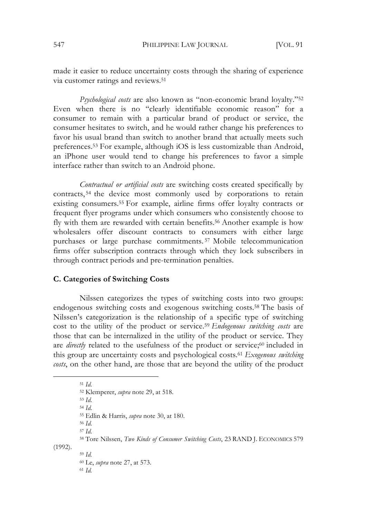547 PHILIPPINE LAW JOURNAL [VOL. 91

made it easier to reduce uncertainty costs through the sharing of experience via customer ratings and reviews.51

*Psychological costs* are also known as "non-economic brand loyalty."52 Even when there is no "clearly identifiable economic reason" for a consumer to remain with a particular brand of product or service, the consumer hesitates to switch, and he would rather change his preferences to favor his usual brand than switch to another brand that actually meets such preferences.53 For example, although iOS is less customizable than Android, an iPhone user would tend to change his preferences to favor a simple interface rather than switch to an Android phone.

*Contractual or artificial costs* are switching costs created specifically by contracts, <sup>54</sup> the device most commonly used by corporations to retain existing consumers.55 For example, airline firms offer loyalty contracts or frequent flyer programs under which consumers who consistently choose to fly with them are rewarded with certain benefits.56 Another example is how wholesalers offer discount contracts to consumers with either large purchases or large purchase commitments. <sup>57</sup> Mobile telecommunication firms offer subscription contracts through which they lock subscribers in through contract periods and pre-termination penalties.

### **C. Categories of Switching Costs**

Nilssen categorizes the types of switching costs into two groups: endogenous switching costs and exogenous switching costs.58 The basis of Nilssen's categorization is the relationship of a specific type of switching cost to the utility of the product or service.59 *Endogenous switching costs* are those that can be internalized in the utility of the product or service. They are *directly* related to the usefulness of the product or service;<sup>60</sup> included in this group are uncertainty costs and psychological costs.61 *Exogenous switching costs*, on the other hand, are those that are beyond the utility of the product

<sup>51</sup> *Id*. <sup>52</sup> Klemperer, *supra* note 29, at 518. <sup>53</sup> *Id*. <sup>54</sup> *Id*. <sup>55</sup> Edlin & Harris, *supra* note 30, at 180. <sup>56</sup> *Id*. <sup>57</sup> *Id*. <sup>58</sup> Tore Nilssen, *Two Kinds of Consumer Switching Costs*, 23 RAND J. ECONOMICS 579 (1992). <sup>59</sup> *Id.* <sup>60</sup> Le, *supra* note 27, at 573. <sup>61</sup> *Id.*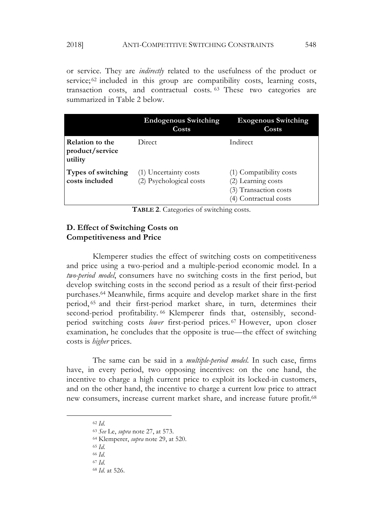or service. They are *indirectly* related to the usefulness of the product or service;<sup>62</sup> included in this group are compatibility costs, learning costs, transaction costs, and contractual costs. <sup>63</sup> These two categories are summarized in Table 2 below.

|                                                      | <b>Endogenous Switching</b><br>Costs             | <b>Exogenous Switching</b><br>Costs                                                             |
|------------------------------------------------------|--------------------------------------------------|-------------------------------------------------------------------------------------------------|
| <b>Relation to the</b><br>product/service<br>utility | Direct                                           | Indirect                                                                                        |
| Types of switching<br>costs included                 | (1) Uncertainty costs<br>(2) Psychological costs | (1) Compatibility costs<br>(2) Learning costs<br>(3) Transaction costs<br>(4) Contractual costs |

**TABLE 2**. Categories of switching costs.

### **D. Effect of Switching Costs on Competitiveness and Price**

Klemperer studies the effect of switching costs on competitiveness and price using a two-period and a multiple-period economic model. In a *two-period model*, consumers have no switching costs in the first period, but develop switching costs in the second period as a result of their first-period purchases.64 Meanwhile, firms acquire and develop market share in the first period, <sup>65</sup> and their first-period market share, in turn, determines their second-period profitability. <sup>66</sup> Klemperer finds that, ostensibly, secondperiod switching costs *lower* first-period prices. <sup>67</sup> However, upon closer examination, he concludes that the opposite is true—the effect of switching costs is *higher* prices.

The same can be said in a *multiple-period model*. In such case, firms have, in every period, two opposing incentives: on the one hand, the incentive to charge a high current price to exploit its locked-in customers, and on the other hand, the incentive to charge a current low price to attract new consumers, increase current market share, and increase future profit.68

 $\overline{a}$ 

<sup>62</sup> *Id*.

<sup>63</sup> *See* Le, *supra* note 27, at 573.

<sup>64</sup> Klemperer, *supra* note 29, at 520.

<sup>66</sup> *Id*.

<sup>67</sup> *Id*.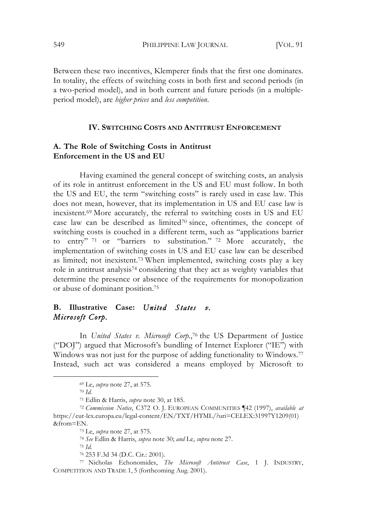549 PHILIPPINE LAW JOURNAL VOL. 91

Between these two incentives, Klemperer finds that the first one dominates. In totality, the effects of switching costs in both first and second periods (in a two-period model), and in both current and future periods (in a multipleperiod model), are *higher prices* and *less competition*.

### **IV. SWITCHING COSTS AND ANTITRUST ENFORCEMENT**

### **A. The Role of Switching Costs in Antitrust Enforcement in the US and EU**

Having examined the general concept of switching costs, an analysis of its role in antitrust enforcement in the US and EU must follow. In both the US and EU, the term "switching costs" is rarely used in case law. This does not mean, however, that its implementation in US and EU case law is inexistent.69 More accurately, the referral to switching costs in US and EU case law can be described as limited<sup>70</sup> since, oftentimes, the concept of switching costs is couched in a different term, such as "applications barrier to entry" <sup>71</sup> or "barriers to substitution." <sup>72</sup> More accurately, the implementation of switching costs in US and EU case law can be described as limited; not inexistent.73 When implemented, switching costs play a key role in antitrust analysis74 considering that they act as weighty variables that determine the presence or absence of the requirements for monopolization or abuse of dominant position.75

# **B. Illustrative Case:** *United States v. Microsoft Corp.*

In *United States v. Microsoft Corp.*,76 the US Department of Justice ("DOJ") argued that Microsoft's bundling of Internet Explorer ("IE") with Windows was not just for the purpose of adding functionality to Windows.<sup>77</sup> Instead, such act was considered a means employed by Microsoft to

 $\overline{a}$ 

<sup>74</sup> *See* Edlin & Harris, *supra* note 30; *and* Le, *supra* note 27.

<sup>75</sup> *Id.*

<sup>76</sup> 253 F.3d 34 (D.C. Cir.: 2001).

<sup>77</sup> Nicholas Echonomides, *The Microsoft Antitrust Case*, 1 J. INDUSTRY, COMPETITION AND TRADE 1, 5 (forthcoming Aug. 2001).

<sup>69</sup> Le, *supra* note 27, at 575.

<sup>70</sup> *Id.*

<sup>71</sup> Edlin & Harris, *supra* note 30, at 185.

<sup>72</sup> *Commission Notice*, C372 O. J. EUROPEAN COMMUNITIES ¶42 (1997), *available at* https://eur-lex.europa.eu/legal-content/EN/TXT/HTML/?uri=CELEX:31997Y1209(01) &from=EN.

<sup>73</sup> Le, *supra* note 27, at 575.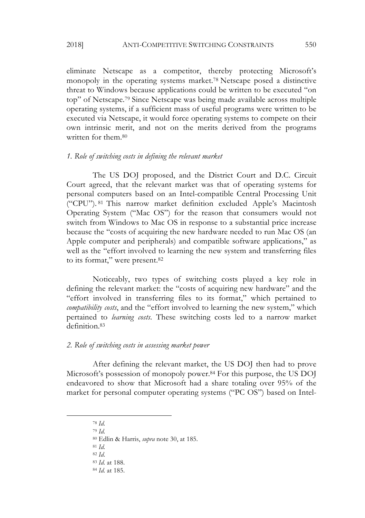eliminate Netscape as a competitor, thereby protecting Microsoft's monopoly in the operating systems market.78 Netscape posed a distinctive threat to Windows because applications could be written to be executed "on top" of Netscape.79 Since Netscape was being made available across multiple operating systems, if a sufficient mass of useful programs were written to be executed via Netscape, it would force operating systems to compete on their own intrinsic merit, and not on the merits derived from the programs written for them.80

#### *1. Role of switching costs in defining the relevant market*

The US DOJ proposed, and the District Court and D.C. Circuit Court agreed, that the relevant market was that of operating systems for personal computers based on an Intel-compatible Central Processing Unit ("CPU"). <sup>81</sup> This narrow market definition excluded Apple's Macintosh Operating System ("Mac OS") for the reason that consumers would not switch from Windows to Mac OS in response to a substantial price increase because the "costs of acquiring the new hardware needed to run Mac OS (an Apple computer and peripherals) and compatible software applications," as well as the "effort involved to learning the new system and transferring files to its format," were present.82

Noticeably, two types of switching costs played a key role in defining the relevant market: the "costs of acquiring new hardware" and the "effort involved in transferring files to its format," which pertained to *compatibility costs*, and the "effort involved to learning the new system," which pertained to *learning costs*. These switching costs led to a narrow market definition.83

#### *2. Role of switching costs in assessing market power*

After defining the relevant market, the US DOJ then had to prove Microsoft's possession of monopoly power.84 For this purpose, the US DOJ endeavored to show that Microsoft had a share totaling over 95% of the market for personal computer operating systems ("PC OS") based on Intel-

 $\overline{a}$ 

<sup>78</sup> *Id.*

<sup>79</sup> *Id.*

<sup>80</sup> Edlin & Harris, *supra* note 30, at 185.

<sup>82</sup> *Id*.

<sup>83</sup> *Id.* at 188.

<sup>84</sup> *Id.* at 185.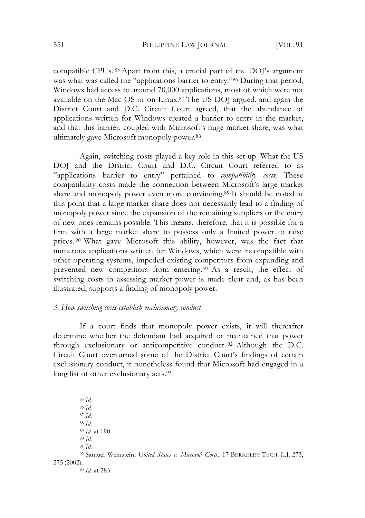compatible CPUs. <sup>85</sup> Apart from this, a crucial part of the DOJ's argument was what was called the "applications barrier to entry."86 During that period, Windows had access to around 70,000 applications, most of which were not available on the Mac OS or on Linux.87 The US DOJ argued, and again the District Court and D.C. Circuit Court agreed, that the abundance of applications written for Windows created a barrier to entry in the market, and that this barrier, coupled with Microsoft's huge market share, was what ultimately gave Microsoft monopoly power.88

Again, switching costs played a key role in this set up. What the US DOJ and the District Court and D.C. Circuit Court referred to as "applications barrier to entry" pertained to *compatibility costs.* These compatibility costs made the connection between Microsoft's large market share and monopoly power even more convincing.89 It should be noted at this point that a large market share does not necessarily lead to a finding of monopoly power since the expansion of the remaining suppliers or the entry of new ones remains possible. This means, therefore, that it is possible for a firm with a large market share to possess only a limited power to raise prices. <sup>90</sup> What gave Microsoft this ability, however, was the fact that numerous applications written for Windows, which were incompatible with other operating systems, impeded existing competitors from expanding and prevented new competitors from entering. <sup>91</sup> As a result, the effect of switching costs in assessing market power is made clear and, as has been illustrated, supports a finding of monopoly power.

#### *3. How switching costs establish exclusionary conduct*

If a court finds that monopoly power exists, it will thereafter determine whether the defendant had acquired or maintained that power through exclusionary or anticompetitive conduct. <sup>92</sup> Although the D.C. Circuit Court overturned some of the District Court's findings of certain exclusionary conduct, it nonetheless found that Microsoft had engaged in a long list of other exclusionary acts.<sup>93</sup>

<sup>85</sup> *Id.*

 $\overline{a}$ 

<sup>87</sup> *Id.* <sup>88</sup> *Id.*

<sup>89</sup> *Id.* at 190. <sup>90</sup> *Id.*

<sup>86</sup> *Id.*

<sup>92</sup> Samuel Weinstein, *United States v. Microsoft Corp.*, 17 BERKELEY TECH. L.J. 273, 275 (2002).

<sup>93</sup> *Id*. at 283.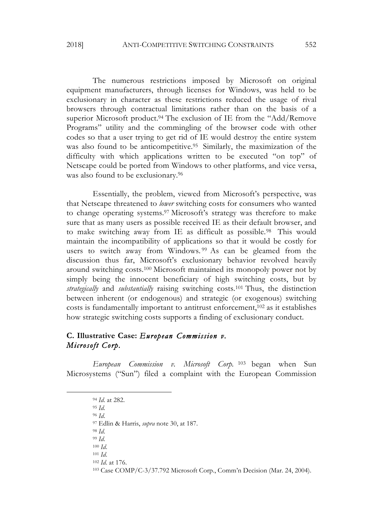#### 2018] ANTI-COMPETITIVE SWITCHING CONSTRAINTS 552

The numerous restrictions imposed by Microsoft on original equipment manufacturers, through licenses for Windows, was held to be exclusionary in character as these restrictions reduced the usage of rival browsers through contractual limitations rather than on the basis of a superior Microsoft product.94 The exclusion of IE from the "Add/Remove Programs" utility and the commingling of the browser code with other codes so that a user trying to get rid of IE would destroy the entire system was also found to be anticompetitive.<sup>95</sup> Similarly, the maximization of the difficulty with which applications written to be executed "on top" of Netscape could be ported from Windows to other platforms, and vice versa, was also found to be exclusionary.<sup>96</sup>

Essentially, the problem, viewed from Microsoft's perspective, was that Netscape threatened to *lower* switching costs for consumers who wanted to change operating systems.97 Microsoft's strategy was therefore to make sure that as many users as possible received IE as their default browser, and to make switching away from IE as difficult as possible.98 This would maintain the incompatibility of applications so that it would be costly for users to switch away from Windows.<sup>99</sup> As can be gleamed from the discussion thus far, Microsoft's exclusionary behavior revolved heavily around switching costs.100 Microsoft maintained its monopoly power not by simply being the innocent beneficiary of high switching costs, but by *strategically* and *substantially* raising switching costs.101 Thus, the distinction between inherent (or endogenous) and strategic (or exogenous) switching costs is fundamentally important to antitrust enforcement,102 as it establishes how strategic switching costs supports a finding of exclusionary conduct.

# **C. Illustrative Case:** *European Commission v. Microsoft Corp.*

*European Commission v. Microsoft Corp.* <sup>103</sup> began when Sun Microsystems ("Sun") filed a complaint with the European Commission

 $\overline{a}$ 

<sup>94</sup> *Id*. at 282.

<sup>95</sup> *Id.*

<sup>96</sup> *Id*.

<sup>97</sup> Edlin & Harris, *supra* note 30, at 187.

<sup>99</sup> *Id*.

<sup>100</sup> *Id*.

<sup>101</sup> *Id*.

<sup>102</sup> *Id*. at 176.

<sup>103</sup> Case COMP/C-3/37.792 Microsoft Corp., Comm'n Decision (Mar. 24, 2004).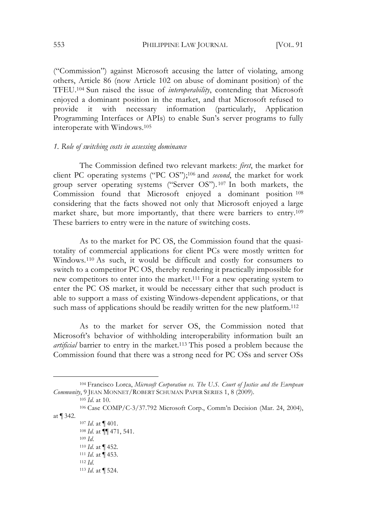("Commission") against Microsoft accusing the latter of violating, among others, Article 86 (now Article 102 on abuse of dominant position) of the TFEU.104 Sun raised the issue of *interoperability*, contending that Microsoft enjoyed a dominant position in the market, and that Microsoft refused to provide it with necessary information (particularly, Application Programming Interfaces or APIs) to enable Sun's server programs to fully interoperate with Windows.105

#### *1. Role of switching costs in assessing dominance*

The Commission defined two relevant markets: *first*, the market for client PC operating systems ("PC OS");106 and *second*, the market for work group server operating systems ("Server OS"). <sup>107</sup> In both markets, the Commission found that Microsoft enjoyed a dominant position <sup>108</sup> considering that the facts showed not only that Microsoft enjoyed a large market share, but more importantly, that there were barriers to entry.109 These barriers to entry were in the nature of switching costs.

As to the market for PC OS, the Commission found that the quasitotality of commercial applications for client PCs were mostly written for Windows.110 As such, it would be difficult and costly for consumers to switch to a competitor PC OS, thereby rendering it practically impossible for new competitors to enter into the market.111 For a new operating system to enter the PC OS market, it would be necessary either that such product is able to support a mass of existing Windows-dependent applications, or that such mass of applications should be readily written for the new platform.<sup>112</sup>

As to the market for server OS, the Commission noted that Microsoft's behavior of withholding interoperability information built an *artificial* barrier to entry in the market.113 This posed a problem because the Commission found that there was a strong need for PC OSs and server OSs

<sup>104</sup> Francisco Lorca, *Microsoft Corporation vs. The U.S. Court of Justice and the European Community*, 9 JEAN MONNET/ROBERT SCHUMAN PAPER SERIES 1, 8 (2009).

<sup>105</sup> *Id*. at 10.

<sup>106</sup> Case COMP/C-3/37.792 Microsoft Corp., Comm'n Decision (Mar. 24, 2004), at ¶ 342.

<sup>107</sup> *Id*. at ¶ 401. <sup>108</sup> *Id*. at ¶¶ 471, 541. <sup>109</sup> *Id*. <sup>110</sup> *Id*. at ¶ 452. <sup>111</sup> *Id*. at ¶ 453. <sup>112</sup> *Id*. <sup>113</sup> *Id*. at ¶ 524.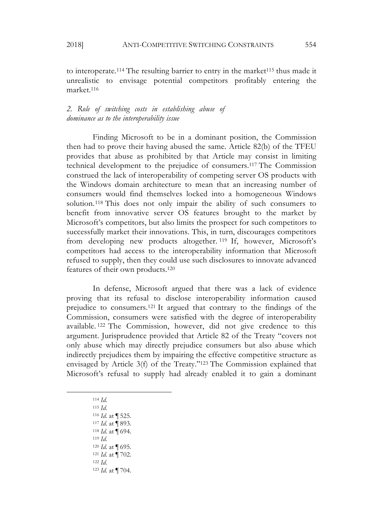unrealistic to envisage potential competitors profitably entering the market.116

*2. Role of switching costs in establishing abuse of dominance as to the interoperability issue*

Finding Microsoft to be in a dominant position, the Commission then had to prove their having abused the same. Article 82(b) of the TFEU provides that abuse as prohibited by that Article may consist in limiting technical development to the prejudice of consumers.117 The Commission construed the lack of interoperability of competing server OS products with the Windows domain architecture to mean that an increasing number of consumers would find themselves locked into a homogeneous Windows solution.118 This does not only impair the ability of such consumers to benefit from innovative server OS features brought to the market by Microsoft's competitors, but also limits the prospect for such competitors to successfully market their innovations. This, in turn, discourages competitors from developing new products altogether. <sup>119</sup> If, however, Microsoft's competitors had access to the interoperability information that Microsoft refused to supply, then they could use such disclosures to innovate advanced features of their own products.120

In defense, Microsoft argued that there was a lack of evidence proving that its refusal to disclose interoperability information caused prejudice to consumers.121 It argued that contrary to the findings of the Commission, consumers were satisfied with the degree of interoperability available. <sup>122</sup> The Commission, however, did not give credence to this argument. Jurisprudence provided that Article 82 of the Treaty "covers not only abuse which may directly prejudice consumers but also abuse which indirectly prejudices them by impairing the effective competitive structure as envisaged by Article 3(f) of the Treaty."123 The Commission explained that Microsoft's refusal to supply had already enabled it to gain a dominant

<sup>114</sup> *Id*.

 $\overline{a}$ 

<sup>115</sup> *Id*. *Id*. at ¶ 525. *Id*. at ¶ 893. *Id*. at ¶ 694. *Id*. 120 *Id*. at ¶ 695. *Id*. at ¶ 702. *Id*. 123 *Id*. at ¶ 704.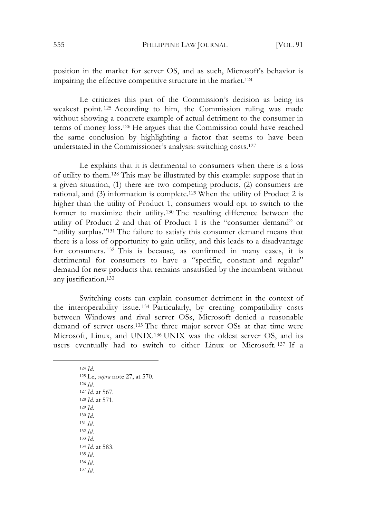position in the market for server OS, and as such, Microsoft's behavior is impairing the effective competitive structure in the market.124

Le criticizes this part of the Commission's decision as being its weakest point. <sup>125</sup> According to him, the Commission ruling was made without showing a concrete example of actual detriment to the consumer in terms of money loss.126 He argues that the Commission could have reached the same conclusion by highlighting a factor that seems to have been understated in the Commissioner's analysis: switching costs.127

Le explains that it is detrimental to consumers when there is a loss of utility to them.128 This may be illustrated by this example: suppose that in a given situation, (1) there are two competing products, (2) consumers are rational, and (3) information is complete.129 When the utility of Product 2 is higher than the utility of Product 1, consumers would opt to switch to the former to maximize their utility.130 The resulting difference between the utility of Product 2 and that of Product 1 is the "consumer demand" or "utility surplus."<sup>131</sup> The failure to satisfy this consumer demand means that there is a loss of opportunity to gain utility, and this leads to a disadvantage for consumers. <sup>132</sup> This is because, as confirmed in many cases, it is detrimental for consumers to have a "specific, constant and regular" demand for new products that remains unsatisfied by the incumbent without any justification.133

Switching costs can explain consumer detriment in the context of the interoperability issue. <sup>134</sup> Particularly, by creating compatibility costs between Windows and rival server OSs, Microsoft denied a reasonable demand of server users.135 The three major server OSs at that time were Microsoft, Linux, and UNIX.136 UNIX was the oldest server OS, and its users eventually had to switch to either Linux or Microsoft. <sup>137</sup> If a

<sup>124</sup> *Id*. 125 Le, *supra* note 27, at 570. <sup>126</sup> *Id*. <sup>127</sup> *Id*. at 567. <sup>128</sup> *Id*. at 571. <sup>129</sup> *Id*. <sup>130</sup> *Id*. <sup>131</sup> *Id*. <sup>132</sup> *Id*. <sup>133</sup> *Id*. <sup>134</sup> *Id*. at 583. <sup>135</sup> *Id*. <sup>136</sup> *Id*. <sup>137</sup> *Id*.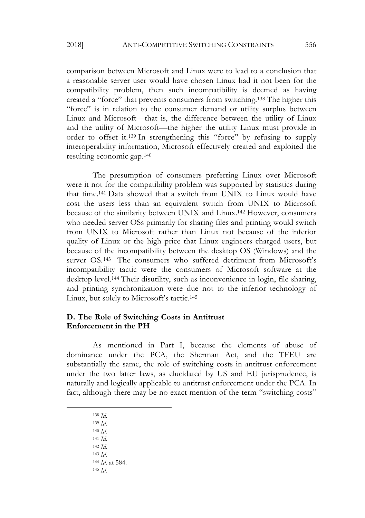comparison between Microsoft and Linux were to lead to a conclusion that a reasonable server user would have chosen Linux had it not been for the compatibility problem, then such incompatibility is deemed as having created a "force" that prevents consumers from switching.138 The higher this "force" is in relation to the consumer demand or utility surplus between Linux and Microsoft—that is, the difference between the utility of Linux and the utility of Microsoft—the higher the utility Linux must provide in order to offset it.139 In strengthening this "force" by refusing to supply interoperability information, Microsoft effectively created and exploited the resulting economic gap.140

The presumption of consumers preferring Linux over Microsoft were it not for the compatibility problem was supported by statistics during that time.141 Data showed that a switch from UNIX to Linux would have cost the users less than an equivalent switch from UNIX to Microsoft because of the similarity between UNIX and Linux.142 However, consumers who needed server OSs primarily for sharing files and printing would switch from UNIX to Microsoft rather than Linux not because of the inferior quality of Linux or the high price that Linux engineers charged users, but because of the incompatibility between the desktop OS (Windows) and the server OS.143 The consumers who suffered detriment from Microsoft's incompatibility tactic were the consumers of Microsoft software at the desktop level.144 Their disutility, such as inconvenience in login, file sharing, and printing synchronization were due not to the inferior technology of Linux, but solely to Microsoft's tactic.145

### **D. The Role of Switching Costs in Antitrust Enforcement in the PH**

As mentioned in Part I, because the elements of abuse of dominance under the PCA, the Sherman Act, and the TFEU are substantially the same, the role of switching costs in antitrust enforcement under the two latter laws, as elucidated by US and EU jurisprudence, is naturally and logically applicable to antitrust enforcement under the PCA. In fact, although there may be no exact mention of the term "switching costs"

- <sup>138</sup> *Id*.
- <sup>139</sup> *Id*.

- <sup>140</sup> *Id*.
- <sup>141</sup> *Id*.
- <sup>142</sup> *Id*.
- <sup>143</sup> *Id*.
- <sup>144</sup> *Id*. at 584.
- <sup>145</sup> *Id*.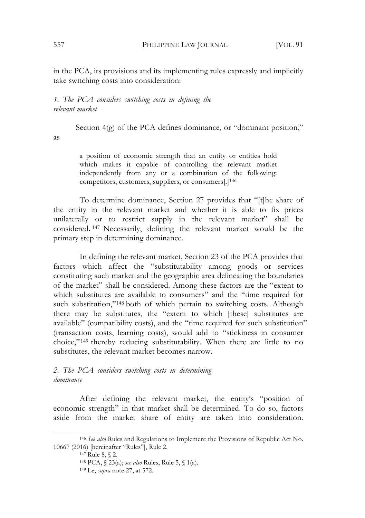in the PCA, its provisions and its implementing rules expressly and implicitly take switching costs into consideration:

### *1. The PCA considers switching costs in defining the relevant market*

Section  $4\degree$  of the PCA defines dominance, or "dominant position," as

> a position of economic strength that an entity or entities hold which makes it capable of controlling the relevant market independently from any or a combination of the following: competitors, customers, suppliers, or consumers[.]146

To determine dominance, Section 27 provides that "[t]he share of the entity in the relevant market and whether it is able to fix prices unilaterally or to restrict supply in the relevant market" shall be considered. <sup>147</sup> Necessarily, defining the relevant market would be the primary step in determining dominance.

In defining the relevant market, Section 23 of the PCA provides that factors which affect the "substitutability among goods or services constituting such market and the geographic area delineating the boundaries of the market" shall be considered. Among these factors are the "extent to which substitutes are available to consumers" and the "time required for such substitution,"<sup>148</sup> both of which pertain to switching costs. Although there may be substitutes, the "extent to which [these] substitutes are available" (compatibility costs), and the "time required for such substitution" (transaction costs, learning costs), would add to "stickiness in consumer choice," <sup>149</sup> thereby reducing substitutability. When there are little to no substitutes, the relevant market becomes narrow.

### *2. The PCA considers switching costs in determining dominance*

After defining the relevant market, the entity's "position of economic strength" in that market shall be determined. To do so, factors aside from the market share of entity are taken into consideration.

<sup>146</sup> *See also* Rules and Regulations to Implement the Provisions of Republic Act No. 10667 (2016) [hereinafter "Rules"], Rule 2.

<sup>147</sup> Rule 8, § 2.

<sup>148</sup> PCA, § 23(a); *see also* Rules, Rule 5, § 1(a).

<sup>149</sup> Le, *supra* note 27, at 572.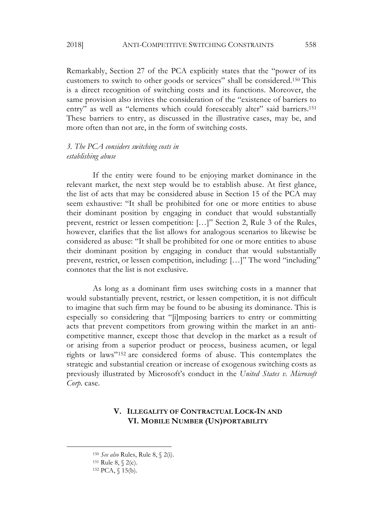Remarkably, Section 27 of the PCA explicitly states that the "power of its customers to switch to other goods or services" shall be considered.150 This is a direct recognition of switching costs and its functions. Moreover, the same provision also invites the consideration of the "existence of barriers to entry" as well as "elements which could foreseeably alter" said barriers.<sup>151</sup> These barriers to entry, as discussed in the illustrative cases, may be, and more often than not are, in the form of switching costs.

### *3. The PCA considers switching costs in establishing abuse*

If the entity were found to be enjoying market dominance in the relevant market, the next step would be to establish abuse. At first glance, the list of acts that may be considered abuse in Section 15 of the PCA may seem exhaustive: "It shall be prohibited for one or more entities to abuse their dominant position by engaging in conduct that would substantially prevent, restrict or lessen competition: […]" Section 2, Rule 3 of the Rules, however, clarifies that the list allows for analogous scenarios to likewise be considered as abuse: "It shall be prohibited for one or more entities to abuse their dominant position by engaging in conduct that would substantially prevent, restrict, or lessen competition, including: […]" The word "including" connotes that the list is not exclusive.

As long as a dominant firm uses switching costs in a manner that would substantially prevent, restrict, or lessen competition, it is not difficult to imagine that such firm may be found to be abusing its dominance. This is especially so considering that "[i]mposing barriers to entry or committing acts that prevent competitors from growing within the market in an anticompetitive manner, except those that develop in the market as a result of or arising from a superior product or process, business acumen, or legal rights or laws"152 are considered forms of abuse. This contemplates the strategic and substantial creation or increase of exogenous switching costs as previously illustrated by Microsoft's conduct in the *United States v. Microsoft Corp.* case.

# **V. ILLEGALITY OF CONTRACTUAL LOCK-IN AND VI. MOBILE NUMBER (UN)PORTABILITY**

<sup>150</sup> *See also* Rules, Rule 8, § 2(i).

<sup>151</sup> Rule 8, § 2(c).

<sup>152</sup> PCA, § 15(b).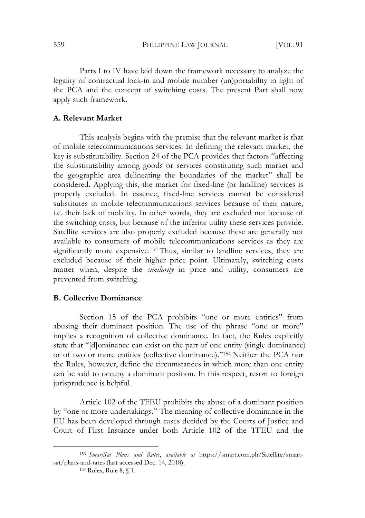559 PHILIPPINE LAW JOURNAL [VOL. 91

Parts I to IV have laid down the framework necessary to analyze the legality of contractual lock-in and mobile number (un)portability in light of the PCA and the concept of switching costs. The present Part shall now apply such framework.

### **A. Relevant Market**

This analysis begins with the premise that the relevant market is that of mobile telecommunications services. In defining the relevant market, the key is substitutability. Section 24 of the PCA provides that factors "affecting the substitutability among goods or services constituting such market and the geographic area delineating the boundaries of the market" shall be considered. Applying this, the market for fixed-line (or landline) services is properly excluded. In essence, fixed-line services cannot be considered substitutes to mobile telecommunications services because of their nature, i.e*.* their lack of mobility. In other words, they are excluded not because of the switching costs, but because of the inferior utility these services provide. Satellite services are also properly excluded because these are generally not available to consumers of mobile telecommunications services as they are significantly more expensive.153 Thus, similar to landline services, they are excluded because of their higher price point. Ultimately, switching costs matter when, despite the *similarity* in price and utility, consumers are prevented from switching.

### **B. Collective Dominance**

Section 15 of the PCA prohibits "one or more entities" from abusing their dominant position. The use of the phrase "one or more" implies a recognition of collective dominance. In fact, the Rules explicitly state that "[d]ominance can exist on the part of one entity (single dominance) or of two or more entities (collective dominance)."154 Neither the PCA nor the Rules, however, define the circumstances in which more than one entity can be said to occupy a dominant position. In this respect, resort to foreign jurisprudence is helpful.

Article 102 of the TFEU prohibits the abuse of a dominant position by "one or more undertakings." The meaning of collective dominance in the EU has been developed through cases decided by the Courts of Justice and Court of First Instance under both Article 102 of the TFEU and the

<sup>154</sup> Rules, Rule 8, § 1.

<sup>153</sup> *SmartSat Plans and Rates*, *available at* https://smart.com.ph/Satellite/smartsat/plans-and-rates (last accessed Dec. 14, 2018).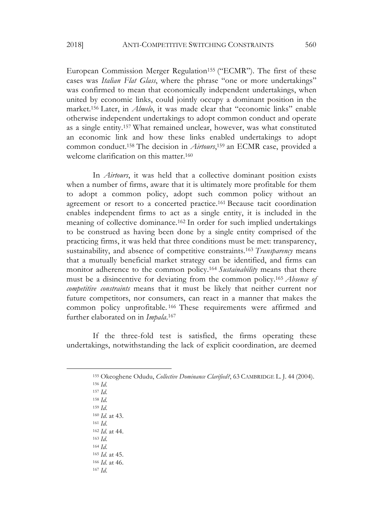European Commission Merger Regulation<sup>155</sup> ("ECMR"). The first of these cases was *Italian Flat Glass*, where the phrase "one or more undertakings" was confirmed to mean that economically independent undertakings, when united by economic links, could jointly occupy a dominant position in the market.156 Later, in *Almelo*, it was made clear that "economic links" enable otherwise independent undertakings to adopt common conduct and operate as a single entity.157 What remained unclear, however, was what constituted an economic link and how these links enabled undertakings to adopt common conduct.158 The decision in *Airtours*,159 an ECMR case, provided a welcome clarification on this matter.<sup>160</sup>

In *Airtours*, it was held that a collective dominant position exists when a number of firms, aware that it is ultimately more profitable for them to adopt a common policy, adopt such common policy without an agreement or resort to a concerted practice.161 Because tacit coordination enables independent firms to act as a single entity, it is included in the meaning of collective dominance.162 In order for such implied undertakings to be construed as having been done by a single entity comprised of the practicing firms, it was held that three conditions must be met: transparency, sustainability, and absence of competitive constraints.163 *Transparency* means that a mutually beneficial market strategy can be identified, and firms can monitor adherence to the common policy.164 *Sustainability* means that there must be a disincentive for deviating from the common policy.165 *Absence of competitive constraints* means that it must be likely that neither current nor future competitors, nor consumers, can react in a manner that makes the common policy unprofitable. <sup>166</sup> These requirements were affirmed and further elaborated on in *Impala*.167

If the three-fold test is satisfied, the firms operating these undertakings, notwithstanding the lack of explicit coordination, are deemed

<sup>157</sup> *Id*. <sup>158</sup> *Id*.

 $\overline{a}$ 

<sup>159</sup> *Id*. <sup>160</sup> *Id*. at 43.

<sup>161</sup> *Id*.

<sup>162</sup> *Id*. at 44.

<sup>163</sup> *Id*.

<sup>164</sup> *Id*.

<sup>167</sup> *Id*.

<sup>165</sup> *Id*. at 45.

<sup>166</sup> *Id*. at 46.

<sup>155</sup> Okeoghene Odudu, *Collective Dominance Clarified?*, 63 CAMBRIDGE L. J. 44 (2004). <sup>156</sup> *Id*.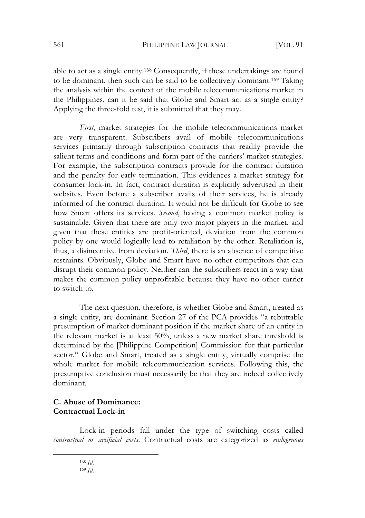able to act as a single entity.168 Consequently, if these undertakings are found to be dominant, then such can be said to be collectively dominant.169 Taking the analysis within the context of the mobile telecommunications market in the Philippines, can it be said that Globe and Smart act as a single entity? Applying the three-fold test, it is submitted that they may.

*First*, market strategies for the mobile telecommunications market are very transparent. Subscribers avail of mobile telecommunications services primarily through subscription contracts that readily provide the salient terms and conditions and form part of the carriers' market strategies. For example, the subscription contracts provide for the contract duration and the penalty for early termination. This evidences a market strategy for consumer lock-in. In fact, contract duration is explicitly advertised in their websites. Even before a subscriber avails of their services, he is already informed of the contract duration. It would not be difficult for Globe to see how Smart offers its services. *Second*, having a common market policy is sustainable. Given that there are only two major players in the market, and given that these entities are profit-oriented, deviation from the common policy by one would logically lead to retaliation by the other. Retaliation is, thus, a disincentive from deviation. *Third*, there is an absence of competitive restraints. Obviously, Globe and Smart have no other competitors that can disrupt their common policy. Neither can the subscribers react in a way that makes the common policy unprofitable because they have no other carrier to switch to.

The next question, therefore, is whether Globe and Smart, treated as a single entity, are dominant. Section 27 of the PCA provides "a rebuttable presumption of market dominant position if the market share of an entity in the relevant market is at least 50%, unless a new market share threshold is determined by the [Philippine Competition] Commission for that particular sector." Globe and Smart, treated as a single entity, virtually comprise the whole market for mobile telecommunication services. Following this, the presumptive conclusion must necessarily be that they are indeed collectively dominant.

# **C. Abuse of Dominance: Contractual Lock-in**

Lock-in periods fall under the type of switching costs called *contractual or artificial costs*. Contractual costs are categorized as *endogenous* 

<sup>168</sup> *Id*.

<sup>169</sup> *Id*.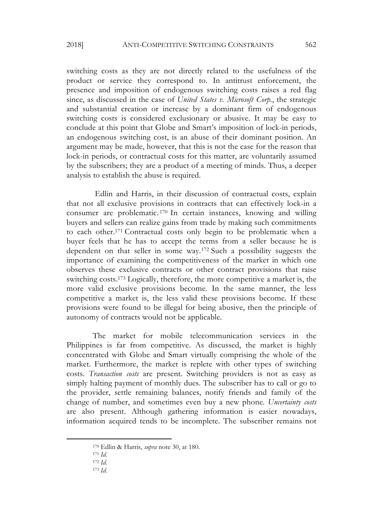switching costs as they are not directly related to the usefulness of the product or service they correspond to. In antitrust enforcement, the presence and imposition of endogenous switching costs raises a red flag since, as discussed in the case of *United States v. Microsoft Corp.*, the strategic and substantial creation or increase by a dominant firm of endogenous switching costs is considered exclusionary or abusive. It may be easy to conclude at this point that Globe and Smart's imposition of lock-in periods, an endogenous switching cost, is an abuse of their dominant position. An argument may be made, however, that this is not the case for the reason that lock-in periods, or contractual costs for this matter, are voluntarily assumed by the subscribers; they are a product of a meeting of minds. Thus, a deeper analysis to establish the abuse is required.

Edlin and Harris, in their discussion of contractual costs, explain that not all exclusive provisions in contracts that can effectively lock-in a consumer are problematic. <sup>170</sup> In certain instances, knowing and willing buyers and sellers can realize gains from trade by making such commitments to each other.171 Contractual costs only begin to be problematic when a buyer feels that he has to accept the terms from a seller because he is dependent on that seller in some way.172 Such a possibility suggests the importance of examining the competitiveness of the market in which one observes these exclusive contracts or other contract provisions that raise switching costs.173 Logically, therefore, the more competitive a market is, the more valid exclusive provisions become. In the same manner, the less competitive a market is, the less valid these provisions become. If these provisions were found to be illegal for being abusive, then the principle of autonomy of contracts would not be applicable.

The market for mobile telecommunication services in the Philippines is far from competitive. As discussed, the market is highly concentrated with Globe and Smart virtually comprising the whole of the market. Furthermore, the market is replete with other types of switching costs. *Transaction costs* are present. Switching providers is not as easy as simply halting payment of monthly dues. The subscriber has to call or go to the provider, settle remaining balances, notify friends and family of the change of number, and sometimes even buy a new phone. *Uncertainty costs* are also present. Although gathering information is easier nowadays, information acquired tends to be incomplete. The subscriber remains not

<sup>170</sup> Edlin & Harris, *supra* note 30, at 180.

<sup>171</sup> *Id*.

<sup>172</sup> *Id*.

<sup>173</sup> *Id*.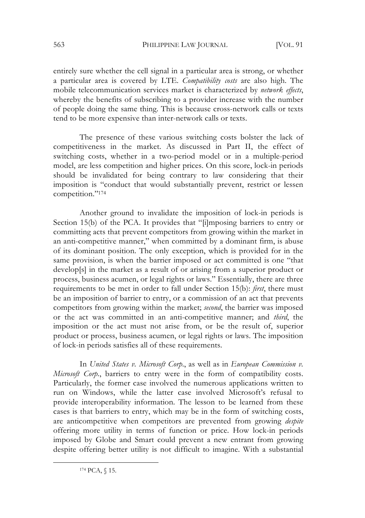entirely sure whether the cell signal in a particular area is strong, or whether a particular area is covered by LTE. *Compatibility costs* are also high. The mobile telecommunication services market is characterized by *network effects*, whereby the benefits of subscribing to a provider increase with the number of people doing the same thing. This is because cross-network calls or texts tend to be more expensive than inter-network calls or texts.

The presence of these various switching costs bolster the lack of competitiveness in the market. As discussed in Part II, the effect of switching costs, whether in a two-period model or in a multiple-period model, are less competition and higher prices. On this score, lock-in periods should be invalidated for being contrary to law considering that their imposition is "conduct that would substantially prevent, restrict or lessen competition."174

Another ground to invalidate the imposition of lock-in periods is Section 15(b) of the PCA. It provides that "[i]mposing barriers to entry or committing acts that prevent competitors from growing within the market in an anti-competitive manner," when committed by a dominant firm, is abuse of its dominant position. The only exception, which is provided for in the same provision, is when the barrier imposed or act committed is one "that develop[s] in the market as a result of or arising from a superior product or process, business acumen, or legal rights or laws." Essentially, there are three requirements to be met in order to fall under Section 15(b): *first*, there must be an imposition of barrier to entry, or a commission of an act that prevents competitors from growing within the market; *second*, the barrier was imposed or the act was committed in an anti-competitive manner; and *third*, the imposition or the act must not arise from, or be the result of, superior product or process, business acumen, or legal rights or laws. The imposition of lock-in periods satisfies all of these requirements.

In *United States v. Microsoft Corp*., as well as in *European Commission v. Microsoft Corp.*, barriers to entry were in the form of compatibility costs. Particularly, the former case involved the numerous applications written to run on Windows, while the latter case involved Microsoft's refusal to provide interoperability information. The lesson to be learned from these cases is that barriers to entry, which may be in the form of switching costs, are anticompetitive when competitors are prevented from growing *despite* offering more utility in terms of function or price. How lock-in periods imposed by Globe and Smart could prevent a new entrant from growing despite offering better utility is not difficult to imagine. With a substantial

<sup>174</sup> PCA, § 15.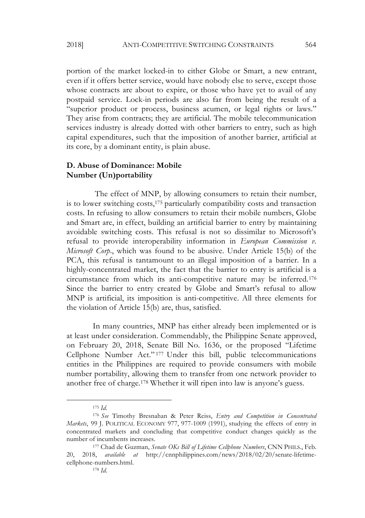portion of the market locked-in to either Globe or Smart, a new entrant, even if it offers better service, would have nobody else to serve, except those whose contracts are about to expire, or those who have yet to avail of any postpaid service. Lock-in periods are also far from being the result of a "superior product or process, business acumen, or legal rights or laws." They arise from contracts; they are artificial. The mobile telecommunication services industry is already dotted with other barriers to entry, such as high capital expenditures, such that the imposition of another barrier, artificial at its core, by a dominant entity, is plain abuse.

### **D. Abuse of Dominance: Mobile Number (Un)portability**

The effect of MNP, by allowing consumers to retain their number, is to lower switching costs,175 particularly compatibility costs and transaction costs. In refusing to allow consumers to retain their mobile numbers, Globe and Smart are, in effect, building an artificial barrier to entry by maintaining avoidable switching costs. This refusal is not so dissimilar to Microsoft's refusal to provide interoperability information in *European Commission v. Microsoft Corp.*, which was found to be abusive. Under Article 15(b) of the PCA, this refusal is tantamount to an illegal imposition of a barrier. In a highly-concentrated market, the fact that the barrier to entry is artificial is a circumstance from which its anti-competitive nature may be inferred.176 Since the barrier to entry created by Globe and Smart's refusal to allow MNP is artificial, its imposition is anti-competitive. All three elements for the violation of Article 15(b) are, thus, satisfied.

In many countries, MNP has either already been implemented or is at least under consideration. Commendably, the Philippine Senate approved, on February 20, 2018, Senate Bill No. 1636, or the proposed "Lifetime Cellphone Number Act." <sup>177</sup> Under this bill, public telecommunications entities in the Philippines are required to provide consumers with mobile number portability, allowing them to transfer from one network provider to another free of charge.178 Whether it will ripen into law is anyone's guess.

<sup>175</sup> *Id*.

<sup>176</sup> *See* Timothy Bresnahan & Peter Reiss, *Entry and Competition in Concentrated Markets*, 99 J. POLITICAL ECONOMY 977, 977-1009 (1991), studying the effects of entry in concentrated markets and concluding that competitive conduct changes quickly as the number of incumbents increases.

<sup>177</sup> Chad de Guzman, *Senate OKs Bill of Lifetime Cellphone Numbers*, CNN PHILS., Feb. 20, 2018, *available at* http://cnnphilippines.com/news/2018/02/20/senate-lifetimecellphone-numbers.html.